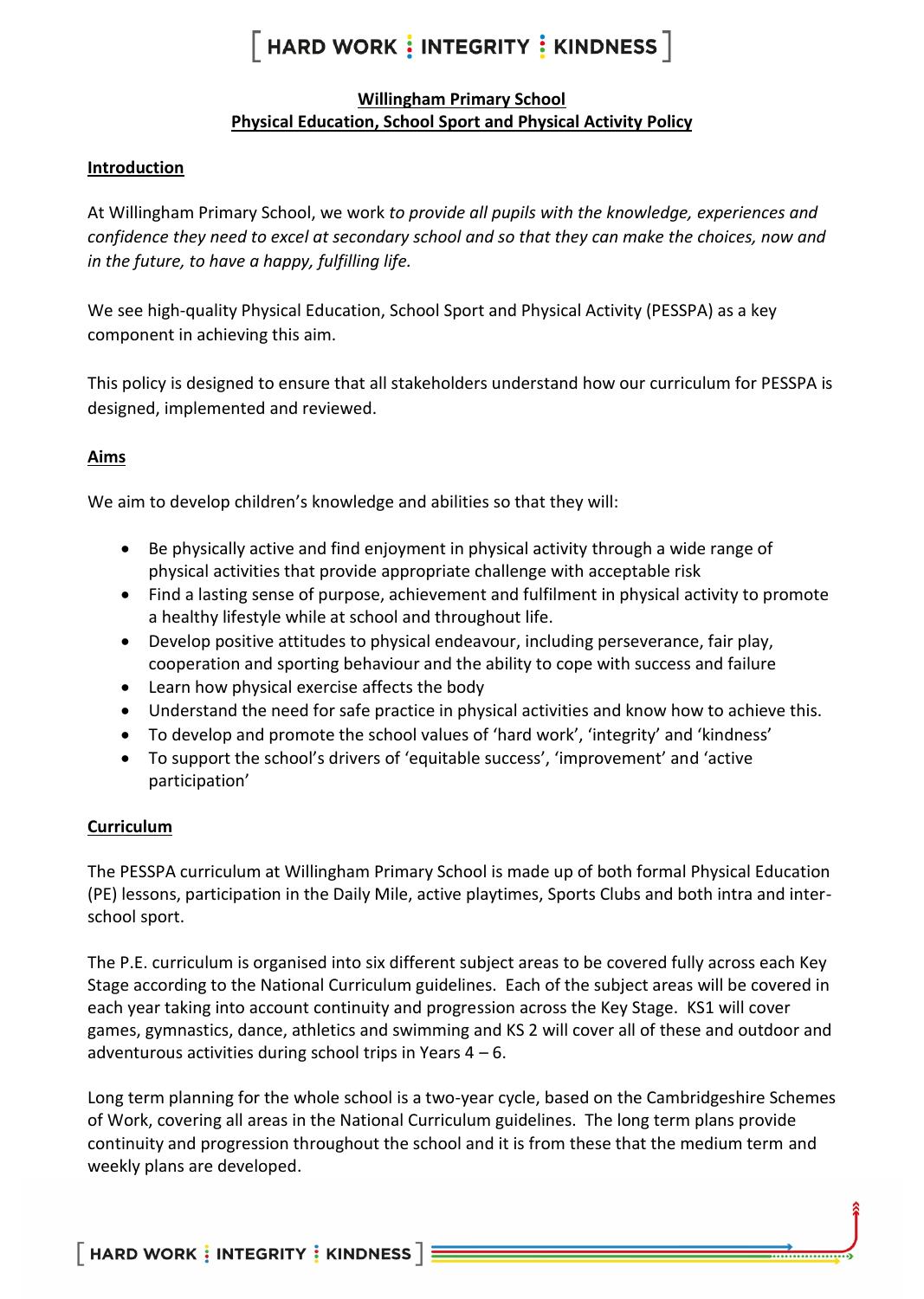# **Willingham Primary School Physical Education, School Sport and Physical Activity Policy**

### **Introduction**

At Willingham Primary School, we work *to provide all pupils with the knowledge, experiences and confidence they need to excel at secondary school and so that they can make the choices, now and in the future, to have a happy, fulfilling life.*

We see high-quality Physical Education, School Sport and Physical Activity (PESSPA) as a key component in achieving this aim.

This policy is designed to ensure that all stakeholders understand how our curriculum for PESSPA is designed, implemented and reviewed.

# **Aims**

We aim to develop children's knowledge and abilities so that they will:

- Be physically active and find enjoyment in physical activity through a wide range of physical activities that provide appropriate challenge with acceptable risk
- Find a lasting sense of purpose, achievement and fulfilment in physical activity to promote a healthy lifestyle while at school and throughout life.
- Develop positive attitudes to physical endeavour, including perseverance, fair play, cooperation and sporting behaviour and the ability to cope with success and failure
- Learn how physical exercise affects the body
- Understand the need for safe practice in physical activities and know how to achieve this.
- To develop and promote the school values of 'hard work', 'integrity' and 'kindness'
- To support the school's drivers of 'equitable success', 'improvement' and 'active participation'

# **Curriculum**

The PESSPA curriculum at Willingham Primary School is made up of both formal Physical Education (PE) lessons, participation in the Daily Mile, active playtimes, Sports Clubs and both intra and interschool sport.

The P.E. curriculum is organised into six different subject areas to be covered fully across each Key Stage according to the National Curriculum guidelines. Each of the subject areas will be covered in each year taking into account continuity and progression across the Key Stage. KS1 will cover games, gymnastics, dance, athletics and swimming and KS 2 will cover all of these and outdoor and adventurous activities during school trips in Years  $4 - 6$ .

Long term planning for the whole school is a two-year cycle, based on the Cambridgeshire Schemes of Work, covering all areas in the National Curriculum guidelines. The long term plans provide continuity and progression throughout the school and it is from these that the medium term and weekly plans are developed.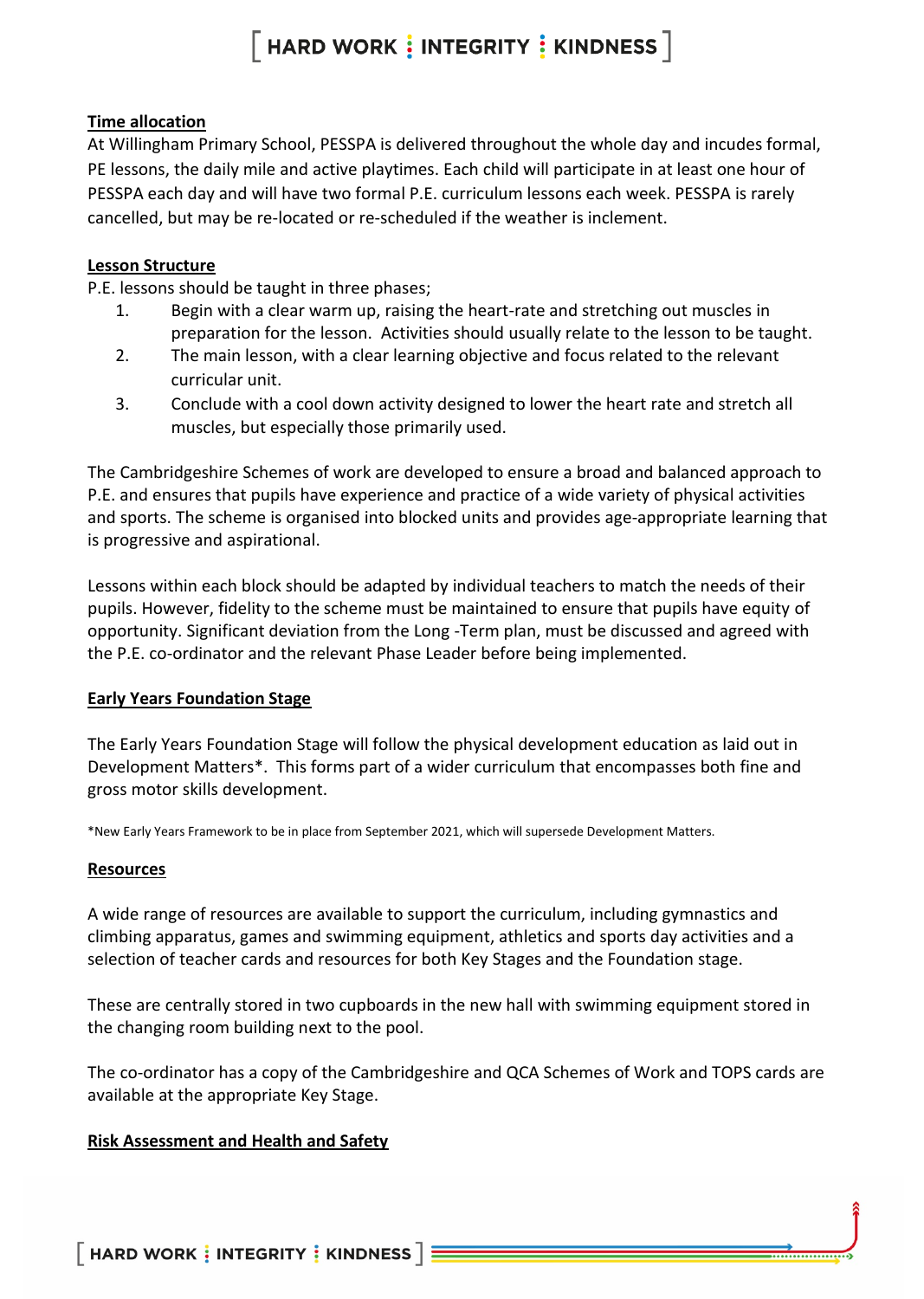### **Time allocation**

At Willingham Primary School, PESSPA is delivered throughout the whole day and incudes formal, PE lessons, the daily mile and active playtimes. Each child will participate in at least one hour of PESSPA each day and will have two formal P.E. curriculum lessons each week. PESSPA is rarely cancelled, but may be re-located or re-scheduled if the weather is inclement.

#### **Lesson Structure**

P.E. lessons should be taught in three phases;

- 1. Begin with a clear warm up, raising the heart-rate and stretching out muscles in preparation for the lesson. Activities should usually relate to the lesson to be taught.
- 2. The main lesson, with a clear learning objective and focus related to the relevant curricular unit.
- 3. Conclude with a cool down activity designed to lower the heart rate and stretch all muscles, but especially those primarily used.

The Cambridgeshire Schemes of work are developed to ensure a broad and balanced approach to P.E. and ensures that pupils have experience and practice of a wide variety of physical activities and sports. The scheme is organised into blocked units and provides age-appropriate learning that is progressive and aspirational.

Lessons within each block should be adapted by individual teachers to match the needs of their pupils. However, fidelity to the scheme must be maintained to ensure that pupils have equity of opportunity. Significant deviation from the Long -Term plan, must be discussed and agreed with the P.E. co-ordinator and the relevant Phase Leader before being implemented.

# **Early Years Foundation Stage**

The Early Years Foundation Stage will follow the physical development education as laid out in Development Matters\*. This forms part of a wider curriculum that encompasses both fine and gross motor skills development.

\*New Early Years Framework to be in place from September 2021, which will supersede Development Matters.

#### **Resources**

A wide range of resources are available to support the curriculum, including gymnastics and climbing apparatus, games and swimming equipment, athletics and sports day activities and a selection of teacher cards and resources for both Key Stages and the Foundation stage.

These are centrally stored in two cupboards in the new hall with swimming equipment stored in the changing room building next to the pool.

The co-ordinator has a copy of the Cambridgeshire and QCA Schemes of Work and TOPS cards are available at the appropriate Key Stage.

#### **Risk Assessment and Health and Safety**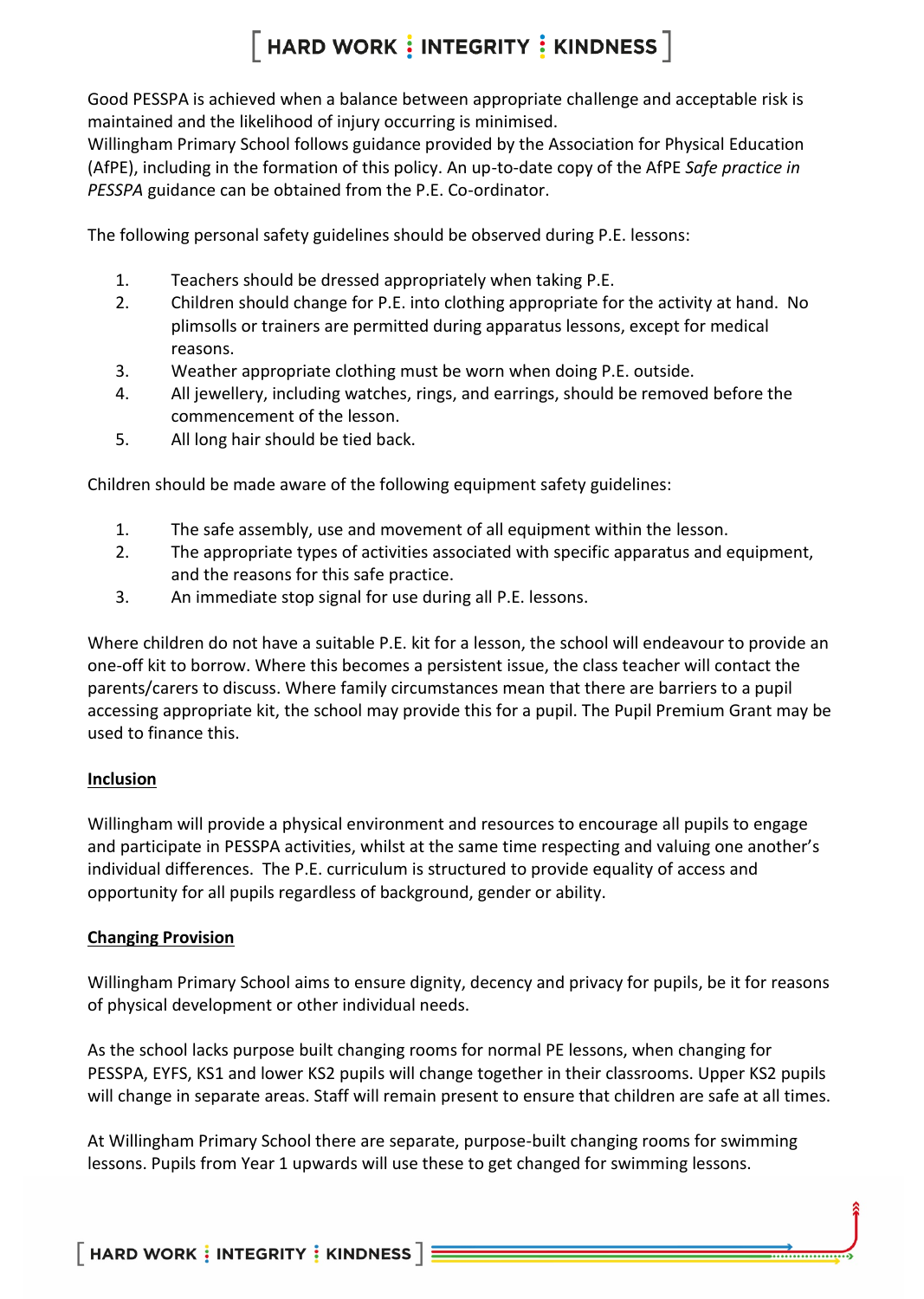Good PESSPA is achieved when a balance between appropriate challenge and acceptable risk is maintained and the likelihood of injury occurring is minimised.

Willingham Primary School follows guidance provided by the Association for Physical Education (AfPE), including in the formation of this policy. An up-to-date copy of the AfPE *Safe practice in PESSPA* guidance can be obtained from the P.E. Co-ordinator.

The following personal safety guidelines should be observed during P.E. lessons:

- 1. Teachers should be dressed appropriately when taking P.E.
- 2. Children should change for P.E. into clothing appropriate for the activity at hand. No plimsolls or trainers are permitted during apparatus lessons, except for medical reasons.
- 3. Weather appropriate clothing must be worn when doing P.E. outside.
- 4. All jewellery, including watches, rings, and earrings, should be removed before the commencement of the lesson.
- 5. All long hair should be tied back.

Children should be made aware of the following equipment safety guidelines:

- 1. The safe assembly, use and movement of all equipment within the lesson.
- 2. The appropriate types of activities associated with specific apparatus and equipment, and the reasons for this safe practice.
- 3. An immediate stop signal for use during all P.E. lessons.

Where children do not have a suitable P.E. kit for a lesson, the school will endeavour to provide an one-off kit to borrow. Where this becomes a persistent issue, the class teacher will contact the parents/carers to discuss. Where family circumstances mean that there are barriers to a pupil accessing appropriate kit, the school may provide this for a pupil. The Pupil Premium Grant may be used to finance this.

#### **Inclusion**

Willingham will provide a physical environment and resources to encourage all pupils to engage and participate in PESSPA activities, whilst at the same time respecting and valuing one another's individual differences. The P.E. curriculum is structured to provide equality of access and opportunity for all pupils regardless of background, gender or ability.

#### **Changing Provision**

Willingham Primary School aims to ensure dignity, decency and privacy for pupils, be it for reasons of physical development or other individual needs.

As the school lacks purpose built changing rooms for normal PE lessons, when changing for PESSPA, EYFS, KS1 and lower KS2 pupils will change together in their classrooms. Upper KS2 pupils will change in separate areas. Staff will remain present to ensure that children are safe at all times.

At Willingham Primary School there are separate, purpose-built changing rooms for swimming lessons. Pupils from Year 1 upwards will use these to get changed for swimming lessons.